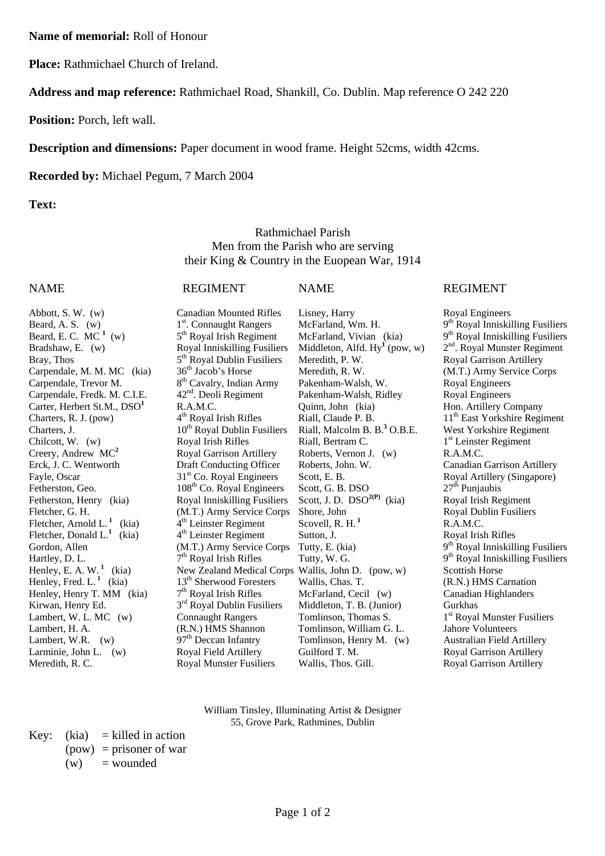**Name of memorial:** Roll of Honour

**Place:** Rathmichael Church of Ireland.

**Address and map reference:** Rathmichael Road, Shankill, Co. Dublin. Map reference O 242 220

**Position:** Porch, left wall.

**Description and dimensions:** Paper document in wood frame. Height 52cms, width 42cms.

**Recorded by:** Michael Pegum, 7 March 2004

**Text:**

Rathmichael Parish Men from the Parish who are serving their King & Country in the Euopean War, 1914

### NAME REGIMENT NAME REGIMENT

Beard, E. C.  $MC^1$  (w) Bradshaw, E. (w) Royal Inniskilling Fusiliers Bray, Thos 5<sup>th</sup> Royal Dublin Fusiliers Meredith, P. W. Royal Garrison Artillery Carpendale, M. M. MC (kia) 36<sup>th</sup> Jacob's Horse Meredith, R. W. (M.T.) Army Service Corps Carpendale, Trevor M. 8<sup>th</sup> Cavalry, Indian Army Pakenham-Walsh, W. Royal Engineers<br>Carpendale, Fredk. M. C.I.E. 42<sup>nd</sup>. Deoli Regiment Pakenham-Walsh, Ridley Royal Engineers Carpendale, Fredk. M. C.I.E. 42<sup>nd</sup>. Deoli Regiment Pakenham-Walsh, Ridley Royal Engineers Carter, Herbert St.M., DSO<sup>1</sup> Chilcott, W. (w) Royal Irish Rifles Riall, Bertram C. 1st Leinster Regiment Creery, Andrew MC<sup>2</sup> Royal Garrison Artillery Roberts, Vernon J. (w) R.A.M.C. Erck, J. C. Wentworth Draft Conducting Officer Roberts, John. W. Canadian Garrison Artillery Fayle, Oscar 31st Co. Royal Engineers Scott, E. B. Royal Artillery (Singapore) Fetherston, Geo. 108<sup>th</sup> Co. Royal Engineers Scott, G. B. DSO 27<sup>th</sup> Punjaubis<br>Fetherston, Henry (kia) Royal Inniskilling Fusiliers Scott, J. D. DSO<sup>2(P)</sup> (kia) Royal Irish Regiment Fetherston, Henry (kia) Royal Inniskilling Fusiliers Scott, J. D. DSO<sup>2(P)</sup> (kia) Fletcher, G. H. (M.T.) Army Service Corps Shore, John Royal Dublin Fusiliers Fletcher, Arnold L.<sup>1</sup> (kia)  $4^{\text{th}}$  Leinster Regiment Scovell, R. H.<sup>1</sup> R.A.M.C. Fletcher, Donald L.<sup>1</sup> (kia) Henley, E. A. W.<sup>1</sup> (kia) New Zealand Medical Corps Wallis, John D. (pow, w) Scottish Horse Henley, Fred. L.<sup>1</sup> (kia) 13<sup>th</sup> Sherwood Foresters Wallis, Chas. T. (R.N.) HMS Carnation Henley, Henry T. MM (kia)  $7<sup>th</sup>$  Royal Irish Rifles McFarland, Cecil (w) Canadian Highlanders Kirwan, Henry Ed.  $3^{\text{rd}}$  Royal Dublin Fusiliers Middleton, T. B. (Junior) Gurkhas Lambert, W. L. MC (w) Connaught Rangers Tomlinson, Thomas S.  $1^{\text{st}}$  Royal Lambert, W. L. MC (w) Connaught Rangers Tomlinson, Thomas S. 1<sup>st</sup> Royal Munster Fusiliers<br>Lambert, H. A. (R.N.) HMS Shannon Tomlinson, William G. L. Jahore Volunteers Lambert, W.R. (w) 97<sup>th</sup> Deccan Infantry Tomlinson, Henry M. (w) Australian Field Artillery Larminie, John L. (w) Royal Field Artillery Guilford T. M. (2008) Royal Garrison Artillery

Abbott, S. W. (w) Canadian Mounted Rifles Lisney, Harry Royal Engineers R.A.M.C. Quinn, John (kia) Hon. Artillery Company 4<sup>th</sup> Royal Irish Rifles Riall, Claude P. B. 11<sup>th</sup> East Yorkshire Regin 10<sup>th</sup> Royal Dublin Fusiliers 4<sup>th</sup> Leinster Regiment Sutton, J. Royal Irish Rifles Larminie, John L. (w) Royal Field Artillery Guilford T. M. Royal Garrison Artillery<br>Meredith, R. C. Royal Munster Fusiliers Wallis, Thos. Gill. Royal Garrison Artillery Meredith, R. C. **Royal Munster Fusiliers** Wallis, Thos. Gill. Royal Garrison Artillery

Tomlinson, William G. L.

Beard, A. S. (w)  $1^{st}$ . Connaught Rangers McFarland, Wm. H.  $9^{th}$  Royal Inniskilling Fusiliers  $5^{th}$  Royal Irish Regiment McFarland, Vivian (kia)  $9^{th}$  Royal Inniskilling Fusiliers Royal Inniskilling Fusiliers Middleton, Alfd. Hy<sup>1</sup> (pow, w)  $2^{nd}$ . Royal Munster Regiment  $2<sup>nd</sup>$ . Royal Munster Regiment Charters, R. J. (pow)  $4^{\text{th}}$  Royal Irish Rifles Riall, Claude P. B. 11<sup>th</sup> East Yorkshire Regiment Charters, J. 10<sup>th</sup> Royal Dublin Fusiliers Riall, Malcolm B. B.<sup>3</sup> O.B.E. West Yorkshire Regiment West Yorkshire Regiment Gordon, Allen (M.T.) Army Service Corps Tutty, E. (kia) 9<sup>th</sup> Royal Inniskilling Fusiliers Hartley, D. L.  $7^{th}$  Royal Irish Rifles Tutty, W. G.  $9^{th}$  Royal Inniskilling Fusiliers

> William Tinsley, Illuminating Artist & Designer 55, Grove Park, Rathmines, Dublin

Key:  $(kia)$  = killed in action  $(pow)$  = prisoner of war  $(w)$  = wounded